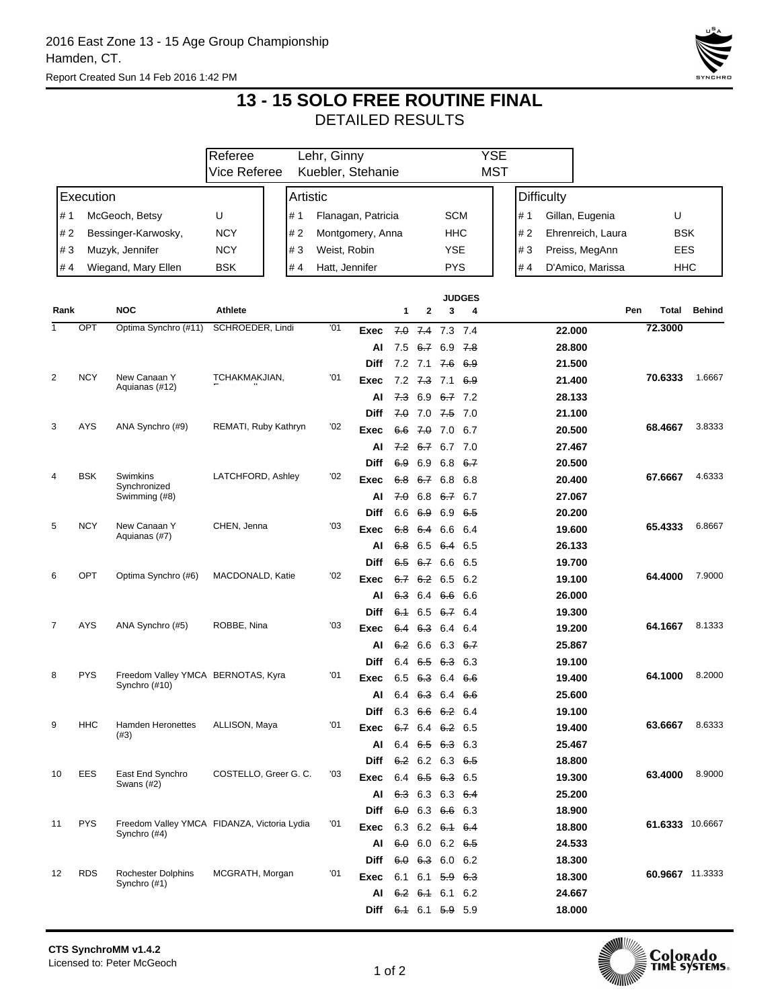

## **13 - 15 SOLO FREE ROUTINE FINAL** DETAILED RESULTS

|                            |                                         |                                           | Referee<br>Lehr, Ginny                      |          |                           |                |                |                    | YSE                          |                   |                    |     |                   |                                 |                  |                 |               |
|----------------------------|-----------------------------------------|-------------------------------------------|---------------------------------------------|----------|---------------------------|----------------|----------------|--------------------|------------------------------|-------------------|--------------------|-----|-------------------|---------------------------------|------------------|-----------------|---------------|
|                            |                                         |                                           | Vice Referee                                |          | Kuebler, Stehanie         |                |                |                    | <b>MST</b>                   |                   |                    |     |                   |                                 |                  |                 |               |
| Execution                  |                                         |                                           |                                             | Artistic |                           |                |                |                    |                              |                   |                    |     | <b>Difficulty</b> |                                 |                  |                 |               |
| McGeoch, Betsy<br>U<br># 1 |                                         |                                           |                                             |          | Flanagan, Patricia<br># 1 |                |                | <b>SCM</b>         |                              |                   |                    | # 1 |                   | Gillan, Eugenia                 | U                |                 |               |
|                            | #2<br><b>NCY</b><br>Bessinger-Karwosky, |                                           |                                             |          | #2<br>Montgomery, Anna    |                |                | HHC                |                              |                   |                    | #2  |                   | Ehrenreich, Laura<br><b>BSK</b> |                  |                 |               |
| #3<br>Muzyk, Jennifer      |                                         |                                           | <b>NCY</b>                                  |          | #3                        | Weist, Robin   |                |                    | YSE                          |                   |                    |     | #3                |                                 | Preiss, MegAnn   | EES             |               |
| Wiegand, Mary Ellen<br>#4  |                                         |                                           | <b>BSK</b>                                  |          | #4                        | Hatt, Jennifer |                |                    | <b>PYS</b>                   |                   |                    |     | # 4               |                                 | D'Amico, Marissa | HHC             |               |
|                            |                                         |                                           |                                             |          |                           |                |                |                    |                              |                   |                    |     |                   |                                 |                  |                 |               |
|                            |                                         |                                           |                                             |          |                           |                |                |                    |                              |                   | <b>JUDGES</b>      |     |                   |                                 |                  |                 |               |
| Rank                       | <b>NOC</b>                              |                                           | Athlete                                     |          |                           |                |                | 1                  | 2                            | 3                 | 4                  |     |                   |                                 | Pen              | Total           | <b>Behind</b> |
| 1                          | OPT                                     | Optima Synchro (#11)                      | SCHROEDER, Lindi                            |          |                           | '01            | <b>Exec</b>    | 7.0                |                              | $7.4$ $7.3$ $7.4$ |                    |     |                   | 22.000                          |                  | 72.3000         |               |
|                            |                                         |                                           |                                             |          |                           |                | Al             | 7.5                | <del>6.7</del>               | 6.9               | <del>7.8</del>     |     |                   | 28.800                          |                  |                 |               |
|                            | <b>NCY</b>                              | New Canaan Y<br>Aquianas (#12)            | TCHAKMAKJIAN,                               |          |                           |                | <b>Diff</b>    |                    | $7.2$ $7.1$                  | <del>7.6</del>    | 6.9                |     |                   | 21.500                          |                  |                 |               |
| 2                          |                                         |                                           |                                             |          | '01                       | Exec           | 7.2            | <del>7.3</del> 7.1 |                              | 6.9               |                    |     | 21.400            |                                 | 70.6333          | 1.6667          |               |
|                            |                                         |                                           |                                             |          |                           | Al             | <del>7.3</del> | 6.9                | 6.7 7.2                      |                   |                    |     | 28.133            |                                 |                  |                 |               |
| 3                          | AYS                                     |                                           |                                             |          |                           |                | <b>Diff</b>    |                    | $7.0$ 7.0 $7.5$ 7.0          |                   |                    |     |                   | 21.100                          |                  |                 | 3.8333        |
|                            |                                         | ANA Synchro (#9)                          | REMATI, Ruby Kathryn                        |          | '02                       | Exec           | 6.6            | 7.0                | 7.0                          | 6.7               |                    |     | 20.500            |                                 | 68.4667          |                 |               |
|                            |                                         |                                           |                                             |          |                           |                | Al             |                    | 7.2 6.7                      | 6.7 7.0           |                    |     |                   | 27.467                          |                  |                 |               |
|                            | <b>BSK</b>                              | Swimkins                                  | LATCHFORD, Ashley                           |          |                           | '02            | <b>Diff</b>    | 6.9                | 6.9                          |                   | 6.8 $6.7$          |     |                   | 20.500                          |                  | 67.6667         | 4.6333        |
| 4                          |                                         | Synchronized                              |                                             |          |                           |                | Exec           | 6.8                | 6.7                          | 6.8               | 6.8                |     |                   | 20.400                          |                  |                 |               |
|                            |                                         | Swimming (#8)                             |                                             |          |                           |                | AI             | 7.0                | 6.8                          | 6.7 6.7           |                    |     |                   | 27.067                          |                  |                 |               |
| 5                          | <b>NCY</b>                              | New Canaan Y                              | CHEN, Jenna                                 |          |                           | '03            | <b>Diff</b>    |                    | 6.6 6.9 6.9 6.5              |                   |                    |     |                   | 20.200                          |                  | 65.4333         | 6.8667        |
|                            |                                         | Aquianas (#7)                             |                                             |          |                           | Exec           | 6.8            | 6.4                | 6.6                          | 6.4               |                    |     | 19.600            |                                 |                  |                 |               |
|                            |                                         |                                           |                                             |          |                           |                | ΑI             | 6.8                | 6.5                          | 6.4               | 6.5                |     |                   | 26.133                          |                  |                 |               |
| 6                          | OPT                                     | Optima Synchro (#6)                       | MACDONALD, Katie                            |          |                           | '02            | Diff           | 6.5                | 6.7 6.6 6.5                  |                   |                    |     |                   | 19.700                          |                  |                 | 7.9000        |
|                            |                                         |                                           |                                             |          |                           | Exec           | 6.7            | <del>6.2</del>     | 6.5                          | 6.2               |                    |     | 19.100            |                                 | 64.4000          |                 |               |
|                            |                                         |                                           |                                             |          |                           |                | Al             |                    | 6.3 6.4                      | 6.6 6.6           |                    |     |                   | 26.000                          |                  |                 |               |
| 7                          | AYS                                     | ANA Synchro (#5)                          | ROBBE, Nina                                 |          |                           | '03            | <b>Diff</b>    |                    | 6.1 6.5 6.7 6.4              |                   |                    |     |                   | 19.300                          |                  | 64.1667         | 8.1333        |
|                            |                                         |                                           |                                             |          |                           |                | Exec           | 6.4                | 6.3                          | 6.4               | 6.4                |     |                   | 19.200                          |                  |                 |               |
|                            |                                         |                                           |                                             |          |                           |                | ΑI             |                    | <del>6.2</del> 6.6           |                   | 6.3 <del>6.7</del> |     |                   | 25.867                          |                  |                 |               |
| 8                          | <b>PYS</b>                              | Freedom Valley YMCA BERNOTAS, Kyra        |                                             |          |                           | '01            | <b>Diff</b>    |                    | 6.4 $6.5$ $6.3$ 6.3          |                   |                    |     |                   | 19.100                          |                  | 64.1000         | 8.2000        |
|                            |                                         | Synchro (#10)                             |                                             |          |                           |                | Exec           | 6.5                | 6.3                          | 6.4 6.6           |                    |     |                   | 19.400                          |                  |                 |               |
|                            |                                         |                                           |                                             |          |                           |                | Al             | 6.4                | 6.3                          |                   | 6.4 6.6            |     |                   | 25.600                          |                  |                 |               |
| 9                          | HHC                                     | Hamden Heronettes                         | ALLISON, Maya                               |          |                           | '01            | Diff           |                    | 6.3 6.6 6.2 6.4              |                   |                    |     |                   | 19.100                          |                  | 63.6667         | 8.6333        |
|                            |                                         | (#3)                                      |                                             |          |                           |                | Exec           |                    | $6.7$ 6.4 $6.2$ 6.5          |                   |                    |     |                   | 19.400                          |                  |                 |               |
|                            |                                         |                                           |                                             |          |                           |                | AI             |                    | 6.4 $6.5$ $6.3$ 6.3          |                   |                    |     |                   | 25.467                          |                  |                 |               |
| 10                         | <b>EES</b>                              | East End Synchro                          | COSTELLO, Greer G. C.                       |          | '03                       | <b>Diff</b>    |                | 6.2 6.2 6.3 6.5    |                              |                   |                    |     | 18.800            |                                 | 63.4000          | 8.9000          |               |
|                            |                                         | Swans $(H2)$                              |                                             |          |                           | Exec           |                | 6.4 6.5 6.3 6.5    |                              |                   |                    |     | 19.300            |                                 |                  |                 |               |
|                            |                                         |                                           |                                             |          |                           |                | AI             |                    | $6.3$ 6.3 6.3 6.4            |                   |                    |     |                   | 25.200                          |                  |                 |               |
| 11                         | <b>PYS</b>                              |                                           | Freedom Valley YMCA FIDANZA, Victoria Lydia |          |                           | '01            | Diff           |                    | 6.0 6.3 6.6 6.3              |                   |                    |     |                   | 18.900                          |                  | 61.6333 10.6667 |               |
|                            |                                         | Synchro (#4)                              |                                             |          |                           |                | Exec           |                    | 6.3 6.2 $6.4$ 6.4            |                   |                    |     |                   | 18.800                          |                  |                 |               |
|                            |                                         |                                           |                                             |          |                           |                | AI             |                    | $6.0$ 6.0 6.2 $6.5$          |                   |                    |     |                   | 24.533                          |                  |                 |               |
| 12                         | <b>RDS</b>                              | <b>Rochester Dolphins</b><br>Synchro (#1) | MCGRATH, Morgan                             |          |                           | '01            | Diff           |                    | $6.0$ $6.3$ 6.0 6.2          |                   |                    |     |                   | 18.300                          |                  | 60.9667 11.3333 |               |
|                            |                                         |                                           |                                             |          |                           |                | Exec           |                    | 6.1 6.1 $\overline{6.9}$ 6.3 |                   |                    |     |                   | 18.300                          |                  |                 |               |
|                            |                                         |                                           |                                             |          |                           |                | AI             |                    | $6.2$ 6.1 6.1 6.2            |                   |                    |     |                   | 24.667                          |                  |                 |               |
|                            |                                         |                                           |                                             |          |                           |                | Diff           |                    | 6.4 6.1 5.9 5.9              |                   |                    |     |                   | 18.000                          |                  |                 |               |